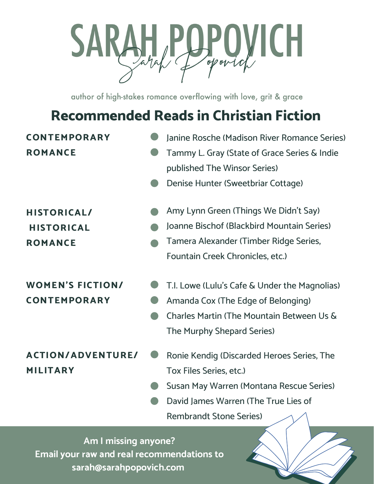

author of high-stakes romance overflowing with love, grit & grace

# **Recommended Reads in Christian Fiction**

#### **CONTEMPORARY ROMANCE**

#### Janine Rosche (Madison River Romance Series)

- Tammy L. Gray (State of Grace Series & Indie published The Winsor Series)
- 

### **HISTORICAL/ HISTORICAL ROMANCE**

## **WOMEN'S FICTION/ CONTEMPORARY**

- Denise Hunter (Sweetbriar Cottage)
- Amy Lynn Green (Things We Didn't Say)
- Joanne Bischof (Blackbird Mountain Series)
- Tamera Alexander (Timber Ridge Series, Fountain Creek Chronicles, etc.)
- T.I. Lowe (Lulu's Cafe & Under the Magnolias)
- Amanda Cox (The Edge of Belonging)
- Charles Martin (The Mountain Between Us & The Murphy Shepard Series)

## **ACTION/ADVENTURE/ MILITARY**

- Ronie Kendig (Discarded Heroes Series, The Tox Files Series, etc.)
- Susan May Warren (Montana Rescue Series)
- David James Warren (The True Lies of Rembrandt Stone Series)

**Am I missing anyone? Email your raw and real recommendations to sarah@sarahpopovich.com**